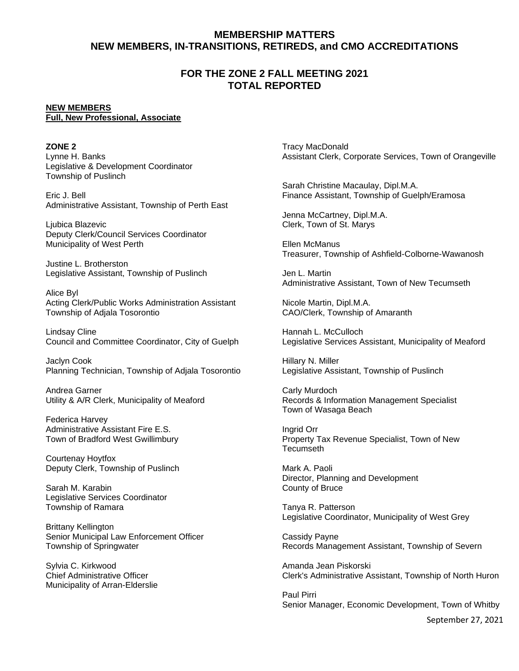# **MEMBERSHIP MATTERS NEW MEMBERS, IN-TRANSITIONS, RETIREDS, and CMO ACCREDITATIONS**

## **FOR THE ZONE 2 FALL MEETING 2021 TOTAL REPORTED**

#### **NEW MEMBERS Full, New Professional, Associate**

**ZONE 2** Lynne H. Banks Legislative & Development Coordinator Township of Puslinch

Eric J. Bell Administrative Assistant, Township of Perth East

Ljubica Blazevic Deputy Clerk/Council Services Coordinator Municipality of West Perth

Justine L. Brotherston Legislative Assistant, Township of Puslinch

Alice Byl Acting Clerk/Public Works Administration Assistant Township of Adjala Tosorontio

Lindsay Cline Council and Committee Coordinator, City of Guelph

Jaclyn Cook Planning Technician, Township of Adjala Tosorontio

Andrea Garner Utility & A/R Clerk, Municipality of Meaford

Federica Harvey Administrative Assistant Fire E.S. Town of Bradford West Gwillimbury

Courtenay Hoytfox Deputy Clerk, Township of Puslinch

Sarah M. Karabin Legislative Services Coordinator Township of Ramara

Brittany Kellington Senior Municipal Law Enforcement Officer Township of Springwater

Sylvia C. Kirkwood Chief Administrative Officer Municipality of Arran-Elderslie

Tracy MacDonald Assistant Clerk, Corporate Services, Town of Orangeville

Sarah Christine Macaulay, Dipl.M.A. Finance Assistant, Township of Guelph/Eramosa

Jenna McCartney, Dipl.M.A. Clerk, Town of St. Marys

Ellen McManus Treasurer, Township of Ashfield-Colborne-Wawanosh

Jen L. Martin Administrative Assistant, Town of New Tecumseth

Nicole Martin, Dipl.M.A. CAO/Clerk, Township of Amaranth

Hannah L. McCulloch Legislative Services Assistant, Municipality of Meaford

Hillary N. Miller Legislative Assistant, Township of Puslinch

Carly Murdoch Records & Information Management Specialist Town of Wasaga Beach

Ingrid Orr Property Tax Revenue Specialist, Town of New Tecumseth

Mark A. Paoli Director, Planning and Development County of Bruce

Tanya R. Patterson Legislative Coordinator, Municipality of West Grey

Cassidy Payne Records Management Assistant, Township of Severn

Amanda Jean Piskorski Clerk's Administrative Assistant, Township of North Huron

Paul Pirri Senior Manager, Economic Development, Town of Whitby

September 27, 2021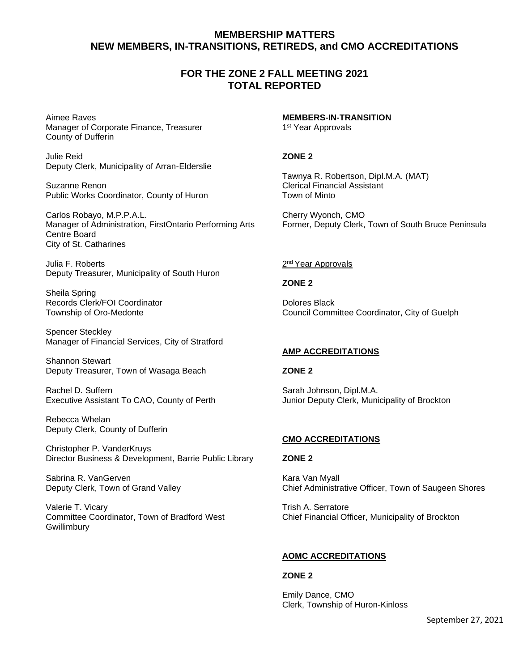# **MEMBERSHIP MATTERS NEW MEMBERS, IN-TRANSITIONS, RETIREDS, and CMO ACCREDITATIONS**

## **FOR THE ZONE 2 FALL MEETING 2021 TOTAL REPORTED**

Aimee Raves Manager of Corporate Finance, Treasurer County of Dufferin

Julie Reid Deputy Clerk, Municipality of Arran-Elderslie

Suzanne Renon Public Works Coordinator, County of Huron

Carlos Robayo, M.P.P.A.L. Manager of Administration, FirstOntario Performing Arts Centre Board City of St. Catharines

Julia F. Roberts Deputy Treasurer, Municipality of South Huron

Sheila Spring Records Clerk/FOI Coordinator Township of Oro-Medonte

Spencer Steckley Manager of Financial Services, City of Stratford

Shannon Stewart Deputy Treasurer, Town of Wasaga Beach

Rachel D. Suffern Executive Assistant To CAO, County of Perth

Rebecca Whelan Deputy Clerk, County of Dufferin

Christopher P. VanderKruys Director Business & Development, Barrie Public Library

Sabrina R. VanGerven Deputy Clerk, Town of Grand Valley

Valerie T. Vicary Committee Coordinator, Town of Bradford West Gwillimbury

**MEMBERS-IN-TRANSITION** 1 st Year Approvals

#### **ZONE 2**

Tawnya R. Robertson, Dipl.M.A. (MAT) Clerical Financial Assistant Town of Minto

Cherry Wyonch, CMO Former, Deputy Clerk, Town of South Bruce Peninsula

### 2<sup>nd</sup> Year Approvals

**ZONE 2**

Dolores Black Council Committee Coordinator, City of Guelph

## **AMP ACCREDITATIONS**

#### **ZONE 2**

Sarah Johnson, Dipl.M.A. Junior Deputy Clerk, Municipality of Brockton

#### **CMO ACCREDITATIONS**

#### **ZONE 2**

Kara Van Myall Chief Administrative Officer, Town of Saugeen Shores

Trish A. Serratore Chief Financial Officer, Municipality of Brockton

## **AOMC ACCREDITATIONS**

#### **ZONE 2**

Emily Dance, CMO Clerk, Township of Huron-Kinloss

September 27, 2021